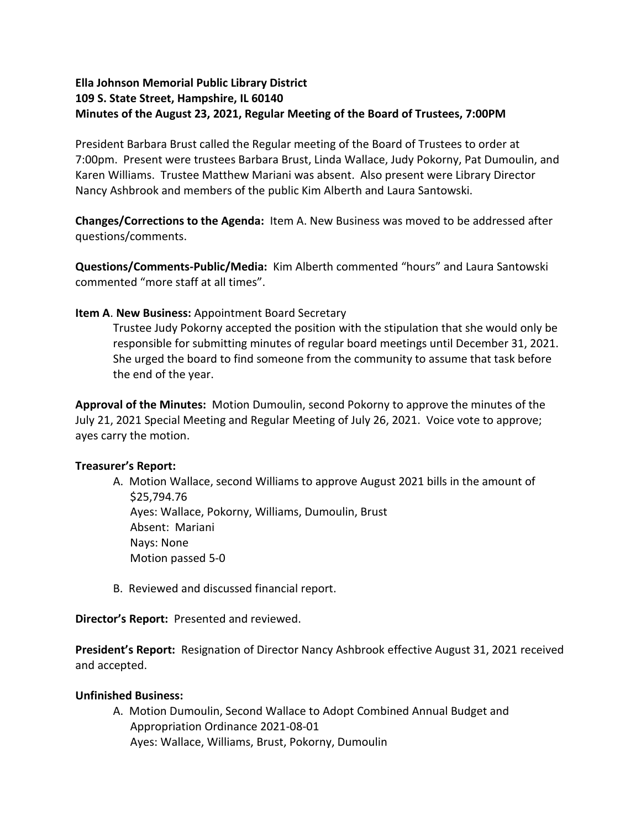# **Ella Johnson Memorial Public Library District 109 S. State Street, Hampshire, IL 60140 Minutes of the August 23, 2021, Regular Meeting of the Board of Trustees, 7:00PM**

President Barbara Brust called the Regular meeting of the Board of Trustees to order at 7:00pm. Present were trustees Barbara Brust, Linda Wallace, Judy Pokorny, Pat Dumoulin, and Karen Williams. Trustee Matthew Mariani was absent. Also present were Library Director Nancy Ashbrook and members of the public Kim Alberth and Laura Santowski.

**Changes/Corrections to the Agenda:** Item A. New Business was moved to be addressed after questions/comments.

**Questions/Comments-Public/Media:** Kim Alberth commented "hours" and Laura Santowski commented "more staff at all times".

## **Item A**. **New Business:** Appointment Board Secretary

Trustee Judy Pokorny accepted the position with the stipulation that she would only be responsible for submitting minutes of regular board meetings until December 31, 2021. She urged the board to find someone from the community to assume that task before the end of the year.

**Approval of the Minutes:** Motion Dumoulin, second Pokorny to approve the minutes of the July 21, 2021 Special Meeting and Regular Meeting of July 26, 2021. Voice vote to approve; ayes carry the motion.

### **Treasurer's Report:**

- A. Motion Wallace, second Williams to approve August 2021 bills in the amount of \$25,794.76 Ayes: Wallace, Pokorny, Williams, Dumoulin, Brust Absent: Mariani Nays: None Motion passed 5-0
- B. Reviewed and discussed financial report.

**Director's Report:** Presented and reviewed.

**President's Report:** Resignation of Director Nancy Ashbrook effective August 31, 2021 received and accepted.

### **Unfinished Business:**

A. Motion Dumoulin, Second Wallace to Adopt Combined Annual Budget and Appropriation Ordinance 2021-08-01 Ayes: Wallace, Williams, Brust, Pokorny, Dumoulin